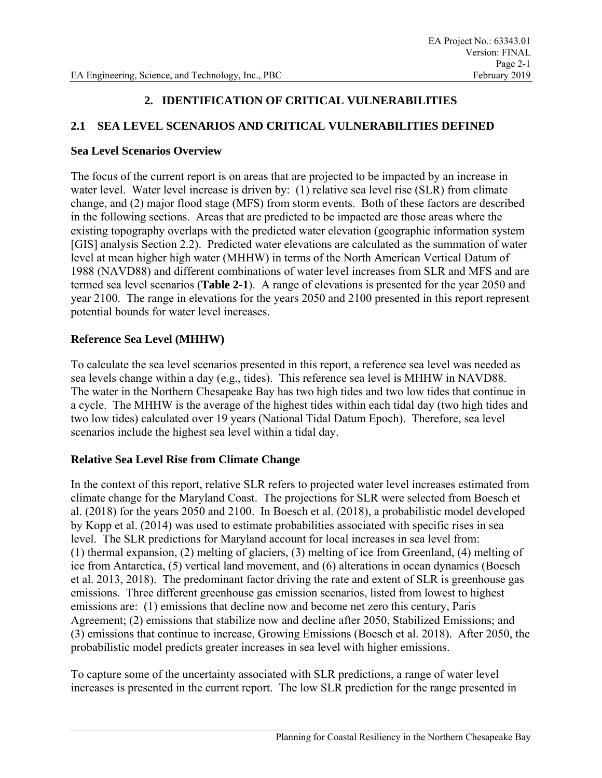# **2. IDENTIFICATION OF CRITICAL VULNERABILITIES**

# **2.1 SEA LEVEL SCENARIOS AND CRITICAL VULNERABILITIES DEFINED**

#### **Sea Level Scenarios Overview**

The focus of the current report is on areas that are projected to be impacted by an increase in water level. Water level increase is driven by: (1) relative sea level rise (SLR) from climate change, and (2) major flood stage (MFS) from storm events. Both of these factors are described in the following sections. Areas that are predicted to be impacted are those areas where the existing topography overlaps with the predicted water elevation (geographic information system [GIS] analysis Section 2.2). Predicted water elevations are calculated as the summation of water level at mean higher high water (MHHW) in terms of the North American Vertical Datum of 1988 (NAVD88) and different combinations of water level increases from SLR and MFS and are termed sea level scenarios (**Table 2-1**). A range of elevations is presented for the year 2050 and year 2100. The range in elevations for the years 2050 and 2100 presented in this report represent potential bounds for water level increases.

## **Reference Sea Level (MHHW)**

To calculate the sea level scenarios presented in this report, a reference sea level was needed as sea levels change within a day (e.g., tides). This reference sea level is MHHW in NAVD88. The water in the Northern Chesapeake Bay has two high tides and two low tides that continue in a cycle. The MHHW is the average of the highest tides within each tidal day (two high tides and two low tides) calculated over 19 years (National Tidal Datum Epoch). Therefore, sea level scenarios include the highest sea level within a tidal day.

### **Relative Sea Level Rise from Climate Change**

In the context of this report, relative SLR refers to projected water level increases estimated from climate change for the Maryland Coast. The projections for SLR were selected from Boesch et al. (2018) for the years 2050 and 2100. In Boesch et al. (2018), a probabilistic model developed by Kopp et al. (2014) was used to estimate probabilities associated with specific rises in sea level. The SLR predictions for Maryland account for local increases in sea level from: (1) thermal expansion, (2) melting of glaciers, (3) melting of ice from Greenland, (4) melting of ice from Antarctica, (5) vertical land movement, and (6) alterations in ocean dynamics (Boesch et al. 2013, 2018). The predominant factor driving the rate and extent of SLR is greenhouse gas emissions. Three different greenhouse gas emission scenarios, listed from lowest to highest emissions are: (1) emissions that decline now and become net zero this century, Paris Agreement; (2) emissions that stabilize now and decline after 2050, Stabilized Emissions; and (3) emissions that continue to increase, Growing Emissions (Boesch et al. 2018). After 2050, the probabilistic model predicts greater increases in sea level with higher emissions.

To capture some of the uncertainty associated with SLR predictions, a range of water level increases is presented in the current report. The low SLR prediction for the range presented in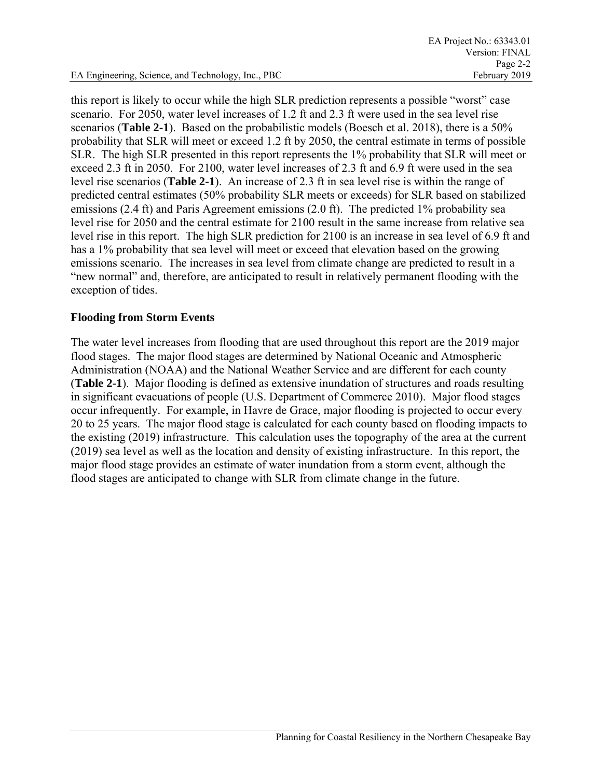this report is likely to occur while the high SLR prediction represents a possible "worst" case scenario. For 2050, water level increases of 1.2 ft and 2.3 ft were used in the sea level rise scenarios (**Table 2-1**). Based on the probabilistic models (Boesch et al. 2018), there is a 50% probability that SLR will meet or exceed 1.2 ft by 2050, the central estimate in terms of possible SLR. The high SLR presented in this report represents the 1% probability that SLR will meet or exceed 2.3 ft in 2050. For 2100, water level increases of 2.3 ft and 6.9 ft were used in the sea level rise scenarios (**Table 2-1**). An increase of 2.3 ft in sea level rise is within the range of predicted central estimates (50% probability SLR meets or exceeds) for SLR based on stabilized emissions (2.4 ft) and Paris Agreement emissions (2.0 ft). The predicted 1% probability sea level rise for 2050 and the central estimate for 2100 result in the same increase from relative sea level rise in this report. The high SLR prediction for 2100 is an increase in sea level of 6.9 ft and has a 1% probability that sea level will meet or exceed that elevation based on the growing emissions scenario. The increases in sea level from climate change are predicted to result in a "new normal" and, therefore, are anticipated to result in relatively permanent flooding with the exception of tides.

#### **Flooding from Storm Events**

The water level increases from flooding that are used throughout this report are the 2019 major flood stages. The major flood stages are determined by National Oceanic and Atmospheric Administration (NOAA) and the National Weather Service and are different for each county (**Table 2-1**). Major flooding is defined as extensive inundation of structures and roads resulting in significant evacuations of people (U.S. Department of Commerce 2010). Major flood stages occur infrequently. For example, in Havre de Grace, major flooding is projected to occur every 20 to 25 years. The major flood stage is calculated for each county based on flooding impacts to the existing (2019) infrastructure. This calculation uses the topography of the area at the current (2019) sea level as well as the location and density of existing infrastructure. In this report, the major flood stage provides an estimate of water inundation from a storm event, although the flood stages are anticipated to change with SLR from climate change in the future.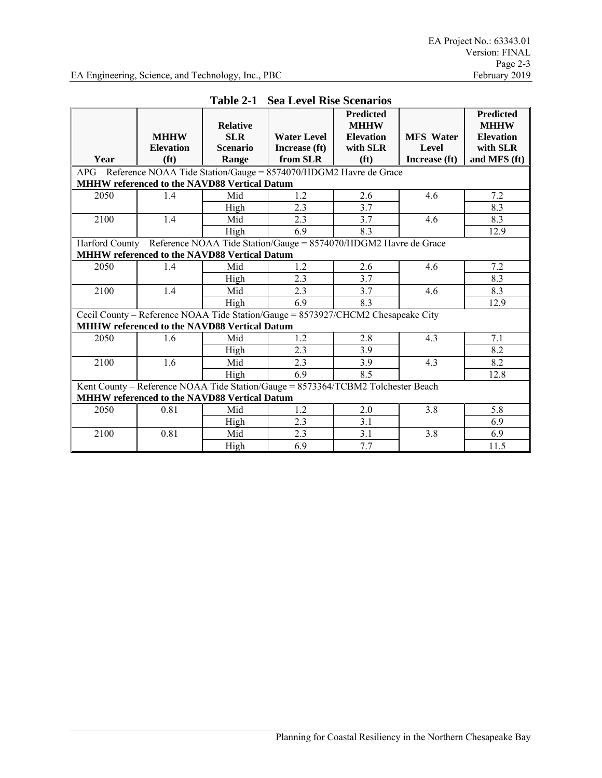|                                                                                                                                         | <b>MHHW</b><br><b>Elevation</b>                     | <b>Relative</b><br><b>SLR</b><br><b>Scenario</b> | <b>Water Level</b><br>Increase (ft)                                               | <b>Predicted</b><br><b>MHHW</b><br><b>Elevation</b><br>with SLR | <b>MFS</b> Water<br>Level | <b>Predicted</b><br><b>MHHW</b><br><b>Elevation</b><br>with SLR |
|-----------------------------------------------------------------------------------------------------------------------------------------|-----------------------------------------------------|--------------------------------------------------|-----------------------------------------------------------------------------------|-----------------------------------------------------------------|---------------------------|-----------------------------------------------------------------|
| Year                                                                                                                                    | (f <sup>t</sup> )                                   | Range                                            | from SLR                                                                          | (f <sup>t</sup> )                                               | Increase (ft)             | and MFS (ft)                                                    |
|                                                                                                                                         |                                                     |                                                  | APG - Reference NOAA Tide Station/Gauge = 8574070/HDGM2 Havre de Grace            |                                                                 |                           |                                                                 |
|                                                                                                                                         | MHHW referenced to the NAVD88 Vertical Datum        |                                                  |                                                                                   |                                                                 |                           |                                                                 |
| 2050                                                                                                                                    | 1.4                                                 | Mid                                              | 1.2                                                                               | 2.6                                                             | 4.6                       | 7.2                                                             |
|                                                                                                                                         |                                                     | High                                             | 2.3                                                                               | 3.7                                                             |                           | 8.3                                                             |
| 2100                                                                                                                                    | 1.4                                                 | Mid                                              | 2.3                                                                               | 3.7                                                             | 4.6                       | 8.3                                                             |
|                                                                                                                                         |                                                     | High                                             | 6.9                                                                               | 8.3                                                             |                           | 12.9                                                            |
|                                                                                                                                         | <b>MHHW referenced to the NAVD88 Vertical Datum</b> |                                                  | Harford County - Reference NOAA Tide Station/Gauge = 8574070/HDGM2 Havre de Grace |                                                                 |                           |                                                                 |
| 2050                                                                                                                                    | 1.4                                                 | Mid                                              | 1.2                                                                               | 2.6                                                             | 4.6                       | 7.2                                                             |
|                                                                                                                                         |                                                     | High                                             | 2.3                                                                               | 3.7                                                             |                           | 8.3                                                             |
| 2100                                                                                                                                    | 1.4                                                 | Mid                                              | 2.3                                                                               | 3.7                                                             | 4.6                       | 8.3                                                             |
|                                                                                                                                         |                                                     | High                                             | 6.9                                                                               | 8.3                                                             |                           | 12.9                                                            |
|                                                                                                                                         |                                                     |                                                  | Cecil County - Reference NOAA Tide Station/Gauge = 8573927/CHCM2 Chesapeake City  |                                                                 |                           |                                                                 |
|                                                                                                                                         | MHHW referenced to the NAVD88 Vertical Datum        |                                                  |                                                                                   |                                                                 |                           |                                                                 |
| 2050                                                                                                                                    | 1.6                                                 | Mid                                              | 1.2                                                                               | 2.8                                                             | 4.3                       | 7.1                                                             |
|                                                                                                                                         |                                                     | High                                             | 2.3                                                                               | 3.9                                                             |                           | 8.2                                                             |
| 2100                                                                                                                                    | 1.6                                                 | Mid                                              | 2.3                                                                               | 3.9                                                             | 4.3                       | 8.2                                                             |
|                                                                                                                                         |                                                     | High                                             | 6.9                                                                               | 8.5                                                             |                           | 12.8                                                            |
| Kent County - Reference NOAA Tide Station/Gauge = 8573364/TCBM2 Tolchester Beach<br><b>MHHW referenced to the NAVD88 Vertical Datum</b> |                                                     |                                                  |                                                                                   |                                                                 |                           |                                                                 |
| 2050                                                                                                                                    | 0.81                                                | Mid                                              | 1.2                                                                               | 2.0                                                             | 3.8                       | 5.8                                                             |
|                                                                                                                                         |                                                     | High                                             | 2.3                                                                               | 3.1                                                             |                           | 6.9                                                             |
| 2100                                                                                                                                    | 0.81                                                | Mid                                              | 2.3                                                                               | 3.1                                                             | 3.8                       | 6.9                                                             |
|                                                                                                                                         |                                                     | High                                             | 6.9                                                                               | 7.7                                                             |                           | 11.5                                                            |

# **Table 2-1 Sea Level Rise Scenarios**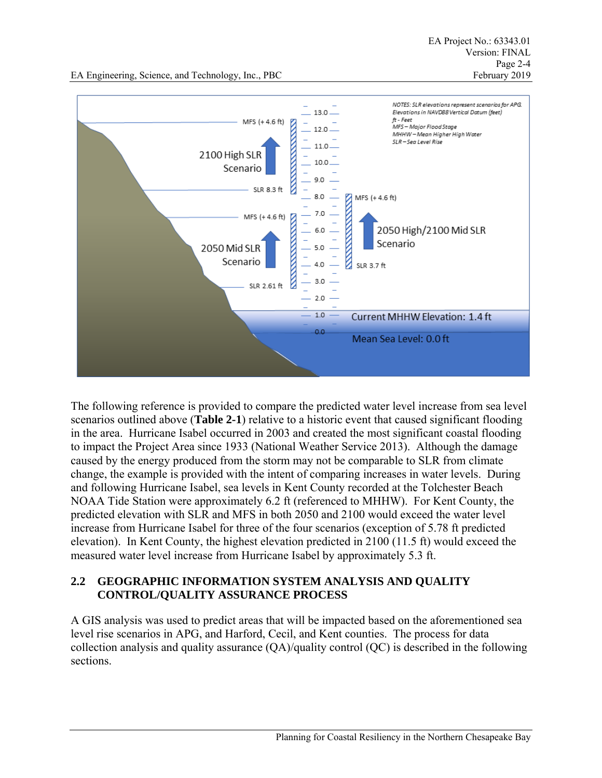EA Engineering, Science, and Technology, Inc., PBC February 2019



The following reference is provided to compare the predicted water level increase from sea level scenarios outlined above (**Table 2-1**) relative to a historic event that caused significant flooding in the area. Hurricane Isabel occurred in 2003 and created the most significant coastal flooding to impact the Project Area since 1933 (National Weather Service 2013). Although the damage caused by the energy produced from the storm may not be comparable to SLR from climate change, the example is provided with the intent of comparing increases in water levels. During and following Hurricane Isabel, sea levels in Kent County recorded at the Tolchester Beach NOAA Tide Station were approximately 6.2 ft (referenced to MHHW). For Kent County, the predicted elevation with SLR and MFS in both 2050 and 2100 would exceed the water level increase from Hurricane Isabel for three of the four scenarios (exception of 5.78 ft predicted elevation). In Kent County, the highest elevation predicted in 2100 (11.5 ft) would exceed the measured water level increase from Hurricane Isabel by approximately 5.3 ft.

## **2.2 GEOGRAPHIC INFORMATION SYSTEM ANALYSIS AND QUALITY CONTROL/QUALITY ASSURANCE PROCESS**

A GIS analysis was used to predict areas that will be impacted based on the aforementioned sea level rise scenarios in APG, and Harford, Cecil, and Kent counties. The process for data collection analysis and quality assurance (QA)/quality control (QC) is described in the following sections.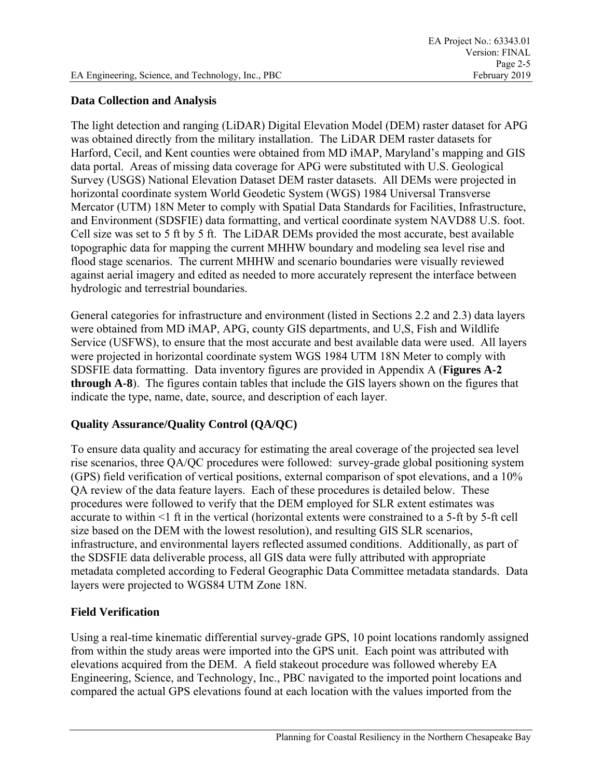### **Data Collection and Analysis**

The light detection and ranging (LiDAR) Digital Elevation Model (DEM) raster dataset for APG was obtained directly from the military installation. The LiDAR DEM raster datasets for Harford, Cecil, and Kent counties were obtained from MD iMAP, Maryland's mapping and GIS data portal. Areas of missing data coverage for APG were substituted with U.S. Geological Survey (USGS) National Elevation Dataset DEM raster datasets. All DEMs were projected in horizontal coordinate system World Geodetic System (WGS) 1984 Universal Transverse Mercator (UTM) 18N Meter to comply with Spatial Data Standards for Facilities, Infrastructure, and Environment (SDSFIE) data formatting, and vertical coordinate system NAVD88 U.S. foot. Cell size was set to 5 ft by 5 ft. The LiDAR DEMs provided the most accurate, best available topographic data for mapping the current MHHW boundary and modeling sea level rise and flood stage scenarios. The current MHHW and scenario boundaries were visually reviewed against aerial imagery and edited as needed to more accurately represent the interface between hydrologic and terrestrial boundaries.

General categories for infrastructure and environment (listed in Sections 2.2 and 2.3) data layers were obtained from MD iMAP, APG, county GIS departments, and U,S, Fish and Wildlife Service (USFWS), to ensure that the most accurate and best available data were used. All layers were projected in horizontal coordinate system WGS 1984 UTM 18N Meter to comply with SDSFIE data formatting. Data inventory figures are provided in Appendix A (**Figures A-2 through A-8**). The figures contain tables that include the GIS layers shown on the figures that indicate the type, name, date, source, and description of each layer.

# **Quality Assurance/Quality Control (QA/QC)**

To ensure data quality and accuracy for estimating the areal coverage of the projected sea level rise scenarios, three QA/QC procedures were followed: survey-grade global positioning system (GPS) field verification of vertical positions, external comparison of spot elevations, and a 10% QA review of the data feature layers. Each of these procedures is detailed below. These procedures were followed to verify that the DEM employed for SLR extent estimates was accurate to within <1 ft in the vertical (horizontal extents were constrained to a 5-ft by 5-ft cell size based on the DEM with the lowest resolution), and resulting GIS SLR scenarios, infrastructure, and environmental layers reflected assumed conditions. Additionally, as part of the SDSFIE data deliverable process, all GIS data were fully attributed with appropriate metadata completed according to Federal Geographic Data Committee metadata standards. Data layers were projected to WGS84 UTM Zone 18N.

# **Field Verification**

Using a real-time kinematic differential survey-grade GPS, 10 point locations randomly assigned from within the study areas were imported into the GPS unit. Each point was attributed with elevations acquired from the DEM. A field stakeout procedure was followed whereby EA Engineering, Science, and Technology, Inc., PBC navigated to the imported point locations and compared the actual GPS elevations found at each location with the values imported from the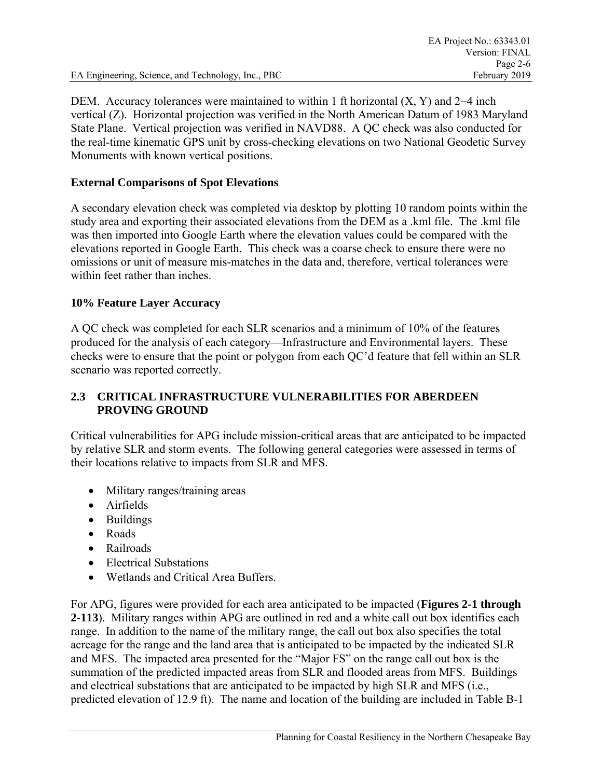EA Engineering, Science, and Technology, Inc., PBC February 2019

DEM. Accuracy tolerances were maintained to within 1 ft horizontal  $(X, Y)$  and 2–4 inch vertical (Z). Horizontal projection was verified in the North American Datum of 1983 Maryland State Plane. Vertical projection was verified in NAVD88. A QC check was also conducted for the real-time kinematic GPS unit by cross-checking elevations on two National Geodetic Survey Monuments with known vertical positions.

#### **External Comparisons of Spot Elevations**

A secondary elevation check was completed via desktop by plotting 10 random points within the study area and exporting their associated elevations from the DEM as a .kml file. The .kml file was then imported into Google Earth where the elevation values could be compared with the elevations reported in Google Earth. This check was a coarse check to ensure there were no omissions or unit of measure mis-matches in the data and, therefore, vertical tolerances were within feet rather than inches.

#### **10% Feature Layer Accuracy**

A QC check was completed for each SLR scenarios and a minimum of 10% of the features produced for the analysis of each category—Infrastructure and Environmental layers. These checks were to ensure that the point or polygon from each QC'd feature that fell within an SLR scenario was reported correctly.

#### **2.3 CRITICAL INFRASTRUCTURE VULNERABILITIES FOR ABERDEEN PROVING GROUND**

Critical vulnerabilities for APG include mission-critical areas that are anticipated to be impacted by relative SLR and storm events. The following general categories were assessed in terms of their locations relative to impacts from SLR and MFS.

- Military ranges/training areas
- Airfields
- Buildings
- Roads
- Railroads
- Electrical Substations
- Wetlands and Critical Area Buffers.

For APG, figures were provided for each area anticipated to be impacted (**Figures 2-1 through 2-113**). Military ranges within APG are outlined in red and a white call out box identifies each range. In addition to the name of the military range, the call out box also specifies the total acreage for the range and the land area that is anticipated to be impacted by the indicated SLR and MFS. The impacted area presented for the "Major FS" on the range call out box is the summation of the predicted impacted areas from SLR and flooded areas from MFS. Buildings and electrical substations that are anticipated to be impacted by high SLR and MFS (i.e., predicted elevation of 12.9 ft). The name and location of the building are included in Table B-1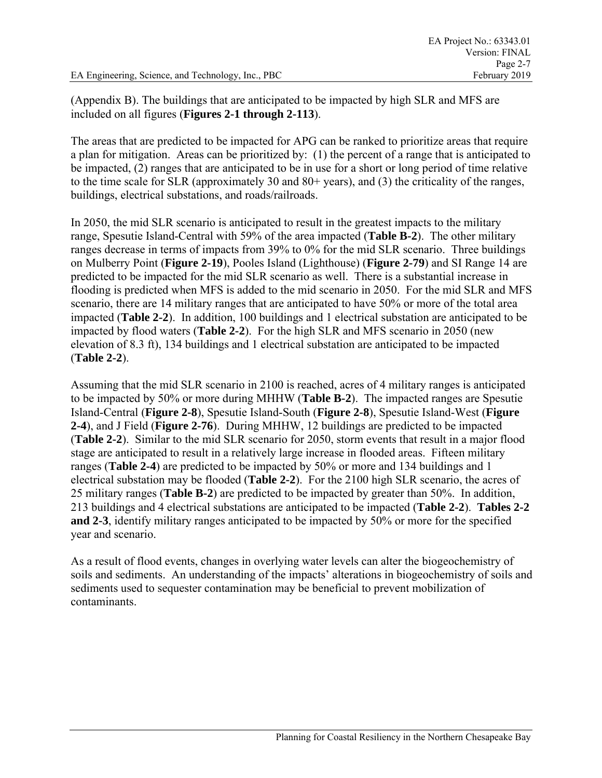(Appendix B). The buildings that are anticipated to be impacted by high SLR and MFS are included on all figures (**Figures 2-1 through 2-113**).

The areas that are predicted to be impacted for APG can be ranked to prioritize areas that require a plan for mitigation. Areas can be prioritized by: (1) the percent of a range that is anticipated to be impacted, (2) ranges that are anticipated to be in use for a short or long period of time relative to the time scale for SLR (approximately 30 and 80+ years), and (3) the criticality of the ranges, buildings, electrical substations, and roads/railroads.

In 2050, the mid SLR scenario is anticipated to result in the greatest impacts to the military range, Spesutie Island-Central with 59% of the area impacted (**Table B-2**). The other military ranges decrease in terms of impacts from 39% to 0% for the mid SLR scenario. Three buildings on Mulberry Point (**Figure 2-19**), Pooles Island (Lighthouse) (**Figure 2-79**) and SI Range 14 are predicted to be impacted for the mid SLR scenario as well. There is a substantial increase in flooding is predicted when MFS is added to the mid scenario in 2050. For the mid SLR and MFS scenario, there are 14 military ranges that are anticipated to have 50% or more of the total area impacted (**Table 2-2**). In addition, 100 buildings and 1 electrical substation are anticipated to be impacted by flood waters (**Table 2-2**). For the high SLR and MFS scenario in 2050 (new elevation of 8.3 ft), 134 buildings and 1 electrical substation are anticipated to be impacted (**Table 2-2**).

Assuming that the mid SLR scenario in 2100 is reached, acres of 4 military ranges is anticipated to be impacted by 50% or more during MHHW (**Table B-2**). The impacted ranges are Spesutie Island-Central (**Figure 2-8**), Spesutie Island-South (**Figure 2-8**), Spesutie Island-West (**Figure 2-4**), and J Field (**Figure 2-76**). During MHHW, 12 buildings are predicted to be impacted (**Table 2-2**). Similar to the mid SLR scenario for 2050, storm events that result in a major flood stage are anticipated to result in a relatively large increase in flooded areas. Fifteen military ranges (**Table 2-4**) are predicted to be impacted by 50% or more and 134 buildings and 1 electrical substation may be flooded (**Table 2-2**). For the 2100 high SLR scenario, the acres of 25 military ranges (**Table B-2**) are predicted to be impacted by greater than 50%. In addition, 213 buildings and 4 electrical substations are anticipated to be impacted (**Table 2-2**). **Tables 2-2 and 2-3**, identify military ranges anticipated to be impacted by 50% or more for the specified year and scenario.

As a result of flood events, changes in overlying water levels can alter the biogeochemistry of soils and sediments. An understanding of the impacts' alterations in biogeochemistry of soils and sediments used to sequester contamination may be beneficial to prevent mobilization of contaminants.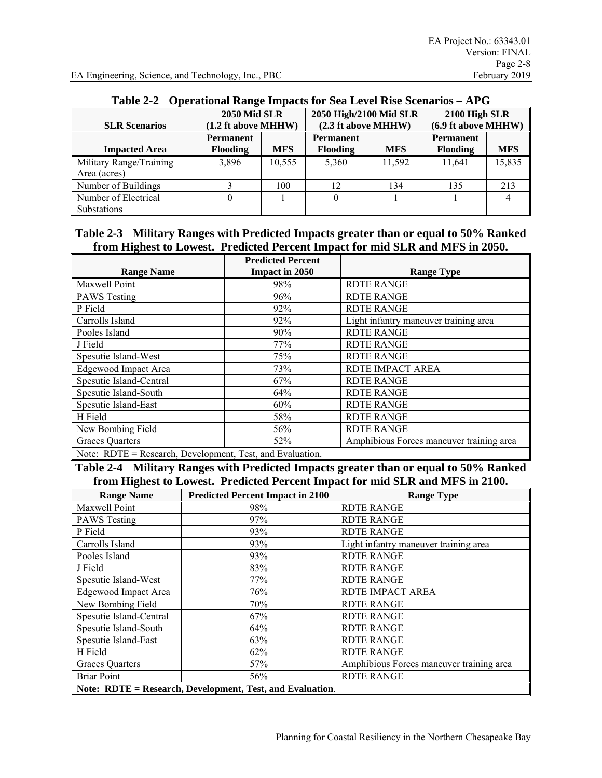|                         |                       | <b>2050 Mid SLR</b> |                     | 2050 High/2100 Mid SLR |                     | 2100 High SLR |  |
|-------------------------|-----------------------|---------------------|---------------------|------------------------|---------------------|---------------|--|
| <b>SLR Scenarios</b>    | $(1.2$ ft above MHHW) |                     | (2.3 ft above MHHW) |                        | (6.9 ft above MHHW) |               |  |
|                         | <b>Permanent</b>      |                     | <b>Permanent</b>    |                        | <b>Permanent</b>    |               |  |
| <b>Impacted Area</b>    | <b>Flooding</b>       | <b>MFS</b>          | <b>Flooding</b>     | <b>MFS</b>             | <b>Flooding</b>     | <b>MFS</b>    |  |
| Military Range/Training | 3,896                 | 10,555              | 5,360               | 11.592                 | 11,641              | 15,835        |  |
| Area (acres)            |                       |                     |                     |                        |                     |               |  |
| Number of Buildings     |                       | 100                 | 12                  | 134                    | 135                 | 213           |  |
| Number of Electrical    |                       |                     |                     |                        |                     |               |  |
| <b>Substations</b>      |                       |                     |                     |                        |                     |               |  |

#### **Table 2-2 Operational Range Impacts for Sea Level Rise Scenarios – APG**

#### **Table 2-3 Military Ranges with Predicted Impacts greater than or equal to 50% Ranked from Highest to Lowest. Predicted Percent Impact for mid SLR and MFS in 2050.**

|                                                       | <b>Predicted Percent</b> |                                          |
|-------------------------------------------------------|--------------------------|------------------------------------------|
| <b>Range Name</b>                                     | Impact in 2050           | <b>Range Type</b>                        |
| Maxwell Point                                         | 98%                      | <b>RDTE RANGE</b>                        |
| <b>PAWS</b> Testing                                   | 96%                      | <b>RDTE RANGE</b>                        |
| P Field                                               | 92%                      | <b>RDTE RANGE</b>                        |
| Carrolls Island                                       | 92%                      | Light infantry maneuver training area    |
| Pooles Island                                         | 90%                      | <b>RDTE RANGE</b>                        |
| J Field                                               | 77%                      | <b>RDTE RANGE</b>                        |
| Spesutie Island-West                                  | 75%                      | <b>RDTE RANGE</b>                        |
| <b>Edgewood Impact Area</b>                           | 73%                      | RDTE IMPACT AREA                         |
| Spesutie Island-Central                               | 67%                      | <b>RDTE RANGE</b>                        |
| Spesutie Island-South                                 | 64%                      | <b>RDTE RANGE</b>                        |
| Spesutie Island-East                                  | 60%                      | <b>RDTE RANGE</b>                        |
| H Field                                               | 58%                      | <b>RDTE RANGE</b>                        |
| New Bombing Field                                     | 56%                      | <b>RDTE RANGE</b>                        |
| <b>Graces Quarters</b>                                | 52%                      | Amphibious Forces maneuver training area |
| Note: DDTE – Desearch Development Test and Evaluation |                          |                                          |

Research, Development, Test, and Evaluation.

**Table 2-4 Military Ranges with Predicted Impacts greater than or equal to 50% Ranked from Highest to Lowest. Predicted Percent Impact for mid SLR and MFS in 2100.** 

| <b>Range Name</b>       | <b>Predicted Percent Impact in 2100</b>                   | <b>Range Type</b>                        |
|-------------------------|-----------------------------------------------------------|------------------------------------------|
| Maxwell Point           | 98%                                                       | <b>RDTE RANGE</b>                        |
| <b>PAWS</b> Testing     | 97%                                                       | <b>RDTE RANGE</b>                        |
| P Field                 | 93%                                                       | <b>RDTE RANGE</b>                        |
| Carrolls Island         | 93%                                                       | Light infantry maneuver training area    |
| Pooles Island           | 93%                                                       | <b>RDTE RANGE</b>                        |
| J Field                 | 83%                                                       | <b>RDTE RANGE</b>                        |
| Spesutie Island-West    | 77%                                                       | <b>RDTE RANGE</b>                        |
| Edgewood Impact Area    | 76%                                                       | RDTE IMPACT AREA                         |
| New Bombing Field       | 70%                                                       | <b>RDTE RANGE</b>                        |
| Spesutie Island-Central | 67%                                                       | <b>RDTE RANGE</b>                        |
| Spesutie Island-South   | 64%                                                       | <b>RDTE RANGE</b>                        |
| Spesutie Island-East    | 63%                                                       | <b>RDTE RANGE</b>                        |
| H Field                 | 62%                                                       | <b>RDTE RANGE</b>                        |
| <b>Graces Quarters</b>  | 57%                                                       | Amphibious Forces maneuver training area |
| <b>Briar Point</b>      | 56%                                                       | <b>RDTE RANGE</b>                        |
|                         | Note: RDTE = Research, Development, Test, and Evaluation. |                                          |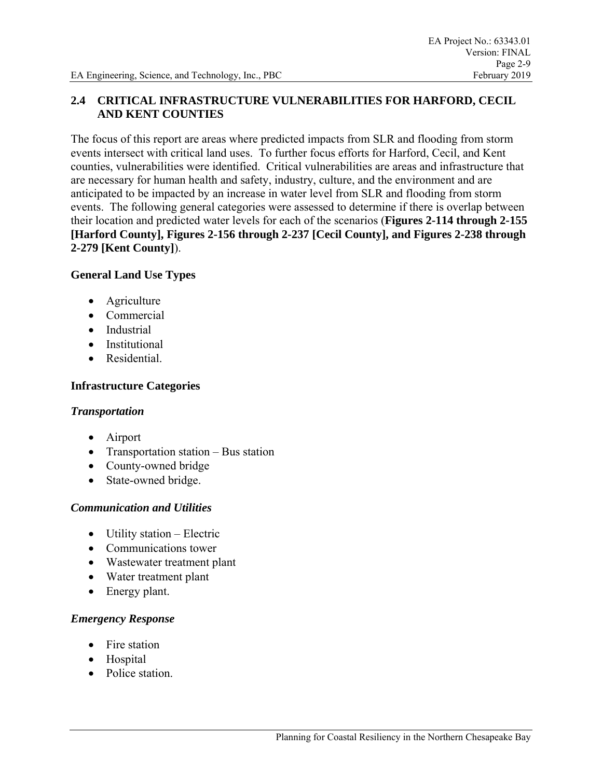## **2.4 CRITICAL INFRASTRUCTURE VULNERABILITIES FOR HARFORD, CECIL AND KENT COUNTIES**

The focus of this report are areas where predicted impacts from SLR and flooding from storm events intersect with critical land uses. To further focus efforts for Harford, Cecil, and Kent counties, vulnerabilities were identified. Critical vulnerabilities are areas and infrastructure that are necessary for human health and safety, industry, culture, and the environment and are anticipated to be impacted by an increase in water level from SLR and flooding from storm events. The following general categories were assessed to determine if there is overlap between their location and predicted water levels for each of the scenarios (**Figures 2-114 through 2-155 [Harford County], Figures 2-156 through 2-237 [Cecil County], and Figures 2-238 through 2-279 [Kent County]**).

#### **General Land Use Types**

- Agriculture
- **Commercial**
- Industrial
- Institutional
- Residential

## **Infrastructure Categories**

### *Transportation*

- Airport
- Transportation station Bus station
- County-owned bridge
- State-owned bridge.

### *Communication and Utilities*

- Utility station Electric
- Communications tower
- Wastewater treatment plant
- Water treatment plant
- Energy plant.

### *Emergency Response*

- Fire station
- Hospital
- Police station.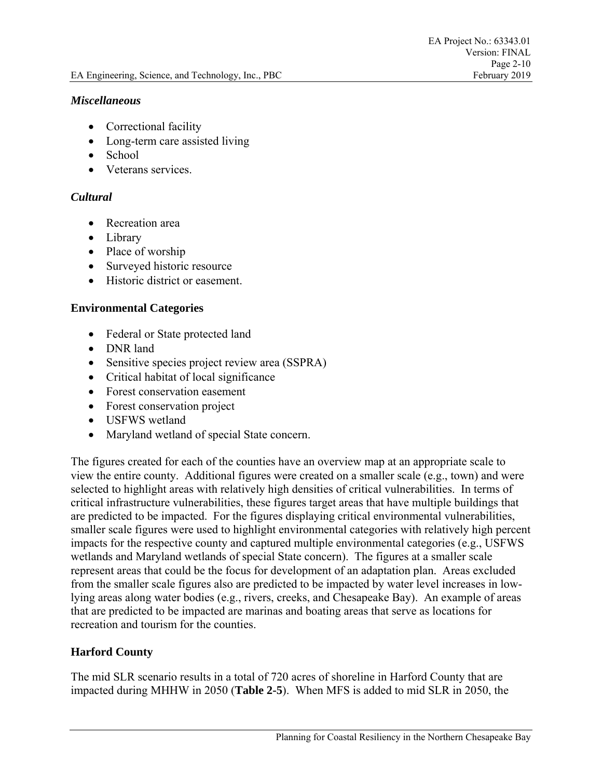#### *Miscellaneous*

- Correctional facility
- Long-term care assisted living
- School
- Veterans services.

## *Cultural*

- Recreation area
- Library
- Place of worship
- Surveyed historic resource
- Historic district or easement.

### **Environmental Categories**

- Federal or State protected land
- DNR land
- Sensitive species project review area (SSPRA)
- Critical habitat of local significance
- Forest conservation easement
- Forest conservation project
- USFWS wetland
- Maryland wetland of special State concern.

The figures created for each of the counties have an overview map at an appropriate scale to view the entire county. Additional figures were created on a smaller scale (e.g., town) and were selected to highlight areas with relatively high densities of critical vulnerabilities. In terms of critical infrastructure vulnerabilities, these figures target areas that have multiple buildings that are predicted to be impacted. For the figures displaying critical environmental vulnerabilities, smaller scale figures were used to highlight environmental categories with relatively high percent impacts for the respective county and captured multiple environmental categories (e.g., USFWS wetlands and Maryland wetlands of special State concern). The figures at a smaller scale represent areas that could be the focus for development of an adaptation plan. Areas excluded from the smaller scale figures also are predicted to be impacted by water level increases in lowlying areas along water bodies (e.g., rivers, creeks, and Chesapeake Bay). An example of areas that are predicted to be impacted are marinas and boating areas that serve as locations for recreation and tourism for the counties.

# **Harford County**

The mid SLR scenario results in a total of 720 acres of shoreline in Harford County that are impacted during MHHW in 2050 (**Table 2-5**). When MFS is added to mid SLR in 2050, the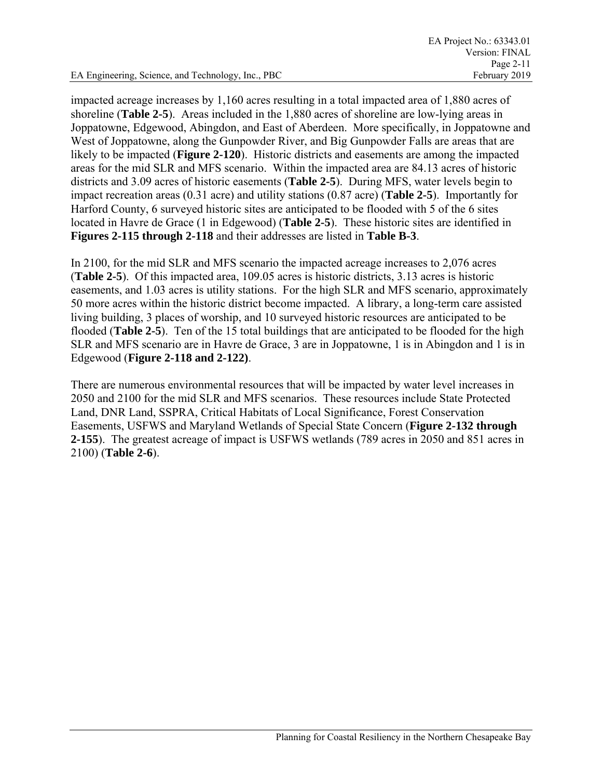impacted acreage increases by 1,160 acres resulting in a total impacted area of 1,880 acres of shoreline (**Table 2-5**). Areas included in the 1,880 acres of shoreline are low-lying areas in Joppatowne, Edgewood, Abingdon, and East of Aberdeen. More specifically, in Joppatowne and West of Joppatowne, along the Gunpowder River, and Big Gunpowder Falls are areas that are likely to be impacted (**Figure 2-120**). Historic districts and easements are among the impacted areas for the mid SLR and MFS scenario. Within the impacted area are 84.13 acres of historic districts and 3.09 acres of historic easements (**Table 2-5**). During MFS, water levels begin to impact recreation areas (0.31 acre) and utility stations (0.87 acre) (**Table 2-5**). Importantly for Harford County, 6 surveyed historic sites are anticipated to be flooded with 5 of the 6 sites located in Havre de Grace (1 in Edgewood) (**Table 2-5**). These historic sites are identified in **Figures 2-115 through 2-118** and their addresses are listed in **Table B-3**.

In 2100, for the mid SLR and MFS scenario the impacted acreage increases to 2,076 acres (**Table 2-5**). Of this impacted area, 109.05 acres is historic districts, 3.13 acres is historic easements, and 1.03 acres is utility stations. For the high SLR and MFS scenario, approximately 50 more acres within the historic district become impacted. A library, a long-term care assisted living building, 3 places of worship, and 10 surveyed historic resources are anticipated to be flooded (**Table 2-5**). Ten of the 15 total buildings that are anticipated to be flooded for the high SLR and MFS scenario are in Havre de Grace, 3 are in Joppatowne, 1 is in Abingdon and 1 is in Edgewood (**Figure 2-118 and 2-122)**.

There are numerous environmental resources that will be impacted by water level increases in 2050 and 2100 for the mid SLR and MFS scenarios. These resources include State Protected Land, DNR Land, SSPRA, Critical Habitats of Local Significance, Forest Conservation Easements, USFWS and Maryland Wetlands of Special State Concern (**Figure 2-132 through 2-155**). The greatest acreage of impact is USFWS wetlands (789 acres in 2050 and 851 acres in 2100) (**Table 2-6**).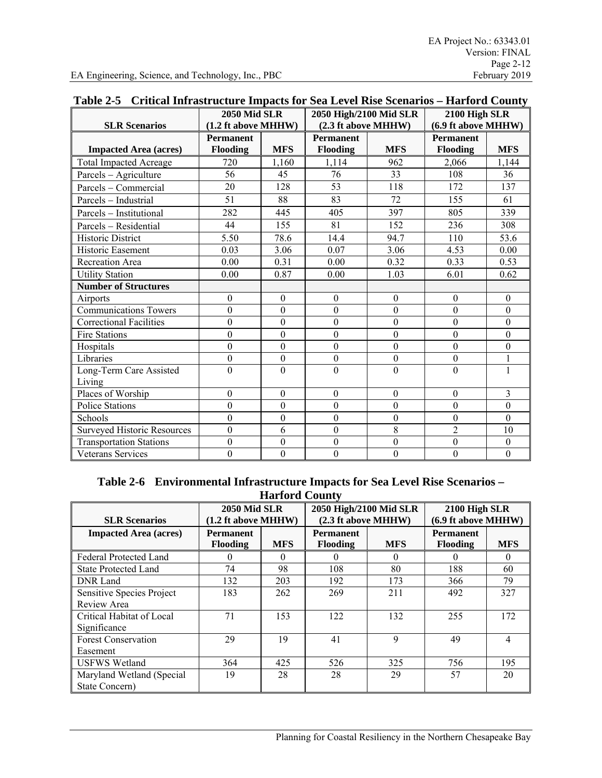| <b>SLR Scenarios</b>               | <b>2050 Mid SLR</b><br>(1.2 ft above MHHW) |                  | 2050 High/2100 Mid SLR<br>(2.3 ft above MHHW) |                | 2100 High SLR<br>(6.9 ft above MHHW) |                  |
|------------------------------------|--------------------------------------------|------------------|-----------------------------------------------|----------------|--------------------------------------|------------------|
|                                    | <b>Permanent</b>                           |                  | <b>Permanent</b>                              |                | <b>Permanent</b>                     |                  |
| <b>Impacted Area (acres)</b>       | Flooding                                   | <b>MFS</b>       | Flooding                                      | <b>MFS</b>     | Flooding                             | <b>MFS</b>       |
| <b>Total Impacted Acreage</b>      | 720                                        | 1,160            | 1,114                                         | 962            | 2,066                                | 1,144            |
| Parcels - Agriculture              | 56                                         | 45               | 76                                            | 33             | 108                                  | 36               |
| Parcels - Commercial               | 20                                         | 128              | 53                                            | 118            | 172                                  | 137              |
| Parcels - Industrial               | 51                                         | 88               | 83                                            | 72             | 155                                  | 61               |
| Parcels - Institutional            | 282                                        | 445              | 405                                           | 397            | 805                                  | 339              |
| Parcels - Residential              | 44                                         | 155              | 81                                            | 152            | 236                                  | 308              |
| <b>Historic District</b>           | 5.50                                       | 78.6             | 14.4                                          | 94.7           | 110                                  | 53.6             |
| Historic Easement                  | 0.03                                       | 3.06             | 0.07                                          | 3.06           | 4.53                                 | 0.00             |
| Recreation Area                    | 0.00                                       | 0.31             | 0.00                                          | 0.32           | 0.33                                 | 0.53             |
| <b>Utility Station</b>             | 0.00                                       | 0.87             | 0.00                                          | 1.03           | 6.01                                 | 0.62             |
| <b>Number of Structures</b>        |                                            |                  |                                               |                |                                      |                  |
| Airports                           | $\mathbf{0}$                               | $\mathbf{0}$     | $\mathbf{0}$                                  | $\mathbf{0}$   | $\overline{0}$                       | $\mathbf{0}$     |
| <b>Communications Towers</b>       | $\theta$                                   | $\overline{0}$   | $\overline{0}$                                | $\mathbf{0}$   | $\mathbf{0}$                         | $\mathbf{0}$     |
| <b>Correctional Facilities</b>     | $\mathbf{0}$                               | $\overline{0}$   | $\overline{0}$                                | $\mathbf{0}$   | $\mathbf{0}$                         | $\mathbf{0}$     |
| <b>Fire Stations</b>               | $\theta$                                   | $\boldsymbol{0}$ | $\theta$                                      | $\mathbf{0}$   | $\boldsymbol{0}$                     | $\mathbf{0}$     |
| Hospitals                          | $\overline{0}$                             | $\mathbf{0}$     | $\overline{0}$                                | $\overline{0}$ | $\mathbf{0}$                         | $\mathbf{0}$     |
| Libraries                          | $\mathbf{0}$                               | $\mathbf{0}$     | $\mathbf{0}$                                  | $\mathbf{0}$   | $\boldsymbol{0}$                     | 1                |
| Long-Term Care Assisted<br>Living  | $\Omega$                                   | $\overline{0}$   | $\theta$                                      | $\Omega$       | $\overline{0}$                       | 1                |
| Places of Worship                  | $\mathbf{0}$                               | $\mathbf{0}$     | $\overline{0}$                                | $\overline{0}$ | $\theta$                             | 3                |
| <b>Police Stations</b>             | $\overline{0}$                             | $\overline{0}$   | $\overline{0}$                                | $\mathbf{0}$   | $\mathbf{0}$                         | $\mathbf{0}$     |
| Schools                            | $\overline{0}$                             | $\mathbf{0}$     | $\mathbf{0}$                                  | $\mathbf{0}$   | $\mathbf{0}$                         | $\mathbf{0}$     |
| <b>Surveyed Historic Resources</b> | $\overline{0}$                             | 6                | $\overline{0}$                                | 8              | $\overline{2}$                       | 10               |
| <b>Transportation Stations</b>     | $\boldsymbol{0}$                           | $\boldsymbol{0}$ | 0                                             | $\mathbf{0}$   | $\boldsymbol{0}$                     | $\boldsymbol{0}$ |
| <b>Veterans Services</b>           | $\mathbf{0}$                               | $\overline{0}$   | $\overline{0}$                                | $\mathbf{0}$   | $\overline{0}$                       | $\overline{0}$   |

## **Table 2-5 Critical Infrastructure Impacts for Sea Level Rise Scenarios – Harford County**

| Table 2-6 Environmental Infrastructure Impacts for Sea Level Rise Scenarios – |
|-------------------------------------------------------------------------------|
| <b>Harford County</b>                                                         |

|                                             |                                              | mande county |                                               |            |                                      |            |
|---------------------------------------------|----------------------------------------------|--------------|-----------------------------------------------|------------|--------------------------------------|------------|
| <b>SLR Scenarios</b>                        | <b>2050 Mid SLR</b><br>$(1.2$ ft above MHHW) |              | 2050 High/2100 Mid SLR<br>(2.3 ft above MHHW) |            | 2100 High SLR<br>(6.9 ft above MHHW) |            |
| <b>Impacted Area (acres)</b>                | <b>Permanent</b><br><b>Flooding</b>          | <b>MFS</b>   | <b>Permanent</b><br><b>Flooding</b>           | <b>MFS</b> | <b>Permanent</b><br><b>Flooding</b>  | <b>MFS</b> |
| Federal Protected Land                      |                                              | $\Omega$     |                                               | $\theta$   | $\theta$                             | $^{(1)}$   |
| <b>State Protected Land</b>                 | 74                                           | 98           | 108                                           | 80         | 188                                  | 60         |
| DNR Land                                    | 132                                          | 203          | 192                                           | 173        | 366                                  | 79         |
| Sensitive Species Project<br>Review Area    | 183                                          | 262          | 269                                           | 211        | 492                                  | 327        |
| Critical Habitat of Local<br>Significance   | 71                                           | 153          | 122                                           | 132        | 255                                  | 172        |
| <b>Forest Conservation</b><br>Easement      | 29                                           | 19           | 41                                            | 9          | 49                                   | 4          |
| <b>USFWS Wetland</b>                        | 364                                          | 425          | 526                                           | 325        | 756                                  | 195        |
| Maryland Wetland (Special<br>State Concern) | 19                                           | 28           | 28                                            | 29         | 57                                   | 20         |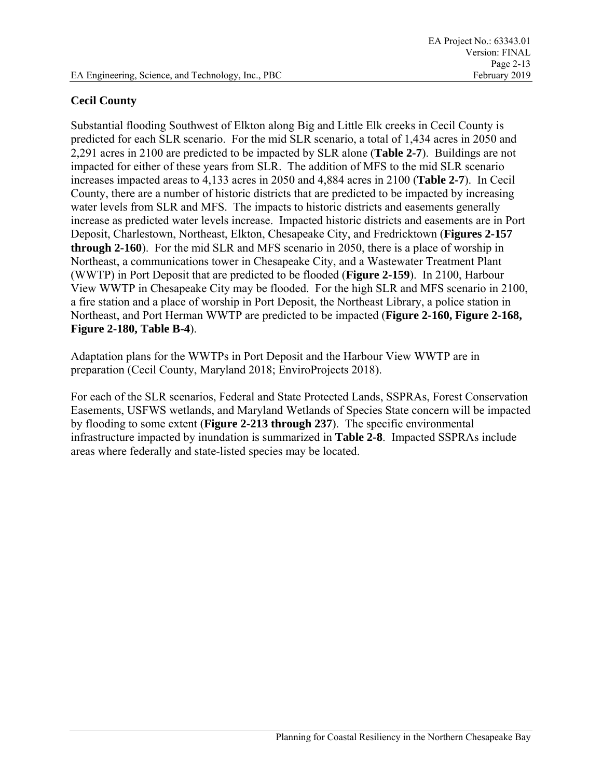# **Cecil County**

Substantial flooding Southwest of Elkton along Big and Little Elk creeks in Cecil County is predicted for each SLR scenario. For the mid SLR scenario, a total of 1,434 acres in 2050 and 2,291 acres in 2100 are predicted to be impacted by SLR alone (**Table 2-7**). Buildings are not impacted for either of these years from SLR. The addition of MFS to the mid SLR scenario increases impacted areas to 4,133 acres in 2050 and 4,884 acres in 2100 (**Table 2-7**). In Cecil County, there are a number of historic districts that are predicted to be impacted by increasing water levels from SLR and MFS. The impacts to historic districts and easements generally increase as predicted water levels increase. Impacted historic districts and easements are in Port Deposit, Charlestown, Northeast, Elkton, Chesapeake City, and Fredricktown (**Figures 2-157 through 2-160**). For the mid SLR and MFS scenario in 2050, there is a place of worship in Northeast, a communications tower in Chesapeake City, and a Wastewater Treatment Plant (WWTP) in Port Deposit that are predicted to be flooded (**Figure 2-159**). In 2100, Harbour View WWTP in Chesapeake City may be flooded. For the high SLR and MFS scenario in 2100, a fire station and a place of worship in Port Deposit, the Northeast Library, a police station in Northeast, and Port Herman WWTP are predicted to be impacted (**Figure 2-160, Figure 2-168, Figure 2-180, Table B-4**).

Adaptation plans for the WWTPs in Port Deposit and the Harbour View WWTP are in preparation (Cecil County, Maryland 2018; EnviroProjects 2018).

For each of the SLR scenarios, Federal and State Protected Lands, SSPRAs, Forest Conservation Easements, USFWS wetlands, and Maryland Wetlands of Species State concern will be impacted by flooding to some extent (**Figure 2-213 through 237**). The specific environmental infrastructure impacted by inundation is summarized in **Table 2-8**. Impacted SSPRAs include areas where federally and state-listed species may be located.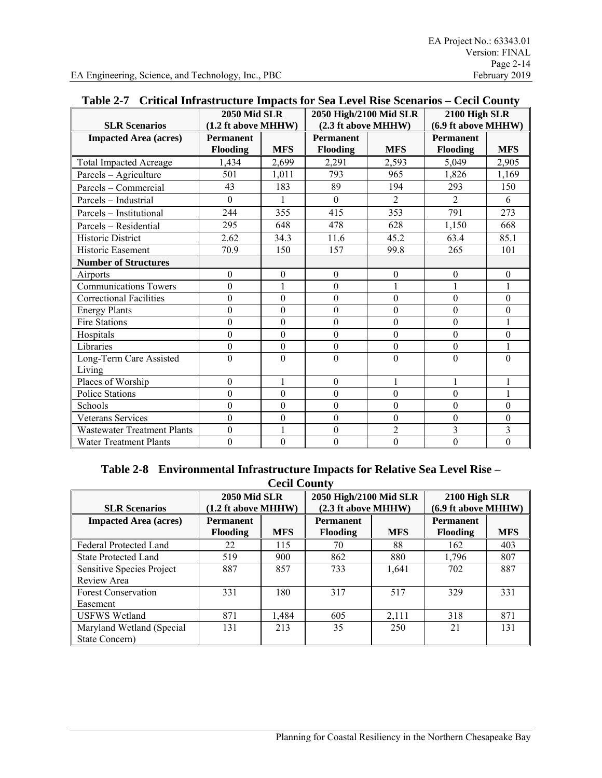| Table 2-7 Critical lift astrocure impacts for sea Level Kise Scenarios – Cecif County |                     |                  |                        |                  |                     |                |
|---------------------------------------------------------------------------------------|---------------------|------------------|------------------------|------------------|---------------------|----------------|
|                                                                                       | <b>2050 Mid SLR</b> |                  | 2050 High/2100 Mid SLR |                  | 2100 High SLR       |                |
| <b>SLR Scenarios</b>                                                                  | (1.2 ft above MHHW) |                  | (2.3 ft above MHHW)    |                  | (6.9 ft above MHHW) |                |
| <b>Impacted Area (acres)</b>                                                          | <b>Permanent</b>    |                  | <b>Permanent</b>       |                  | <b>Permanent</b>    |                |
|                                                                                       | <b>Flooding</b>     | <b>MFS</b>       | <b>Flooding</b>        | <b>MFS</b>       | <b>Flooding</b>     | <b>MFS</b>     |
| <b>Total Impacted Acreage</b>                                                         | 1,434               | 2,699            | 2,291                  | 2,593            | 5.049               | 2,905          |
| Parcels - Agriculture                                                                 | 501                 | 1,011            | 793                    | 965              | 1,826               | 1,169          |
| Parcels - Commercial                                                                  | 43                  | 183              | 89                     | 194              | 293                 | 150            |
| Parcels - Industrial                                                                  | $\Omega$            | 1                | $\Omega$               | $\overline{2}$   | $\overline{2}$      | 6              |
| Parcels - Institutional                                                               | 244                 | 355              | 415                    | 353              | 791                 | 273            |
| Parcels - Residential                                                                 | 295                 | 648              | 478                    | 628              | 1,150               | 668            |
| <b>Historic District</b>                                                              | 2.62                | 34.3             | 11.6                   | 45.2             | 63.4                | 85.1           |
| <b>Historic Easement</b>                                                              | 70.9                | 150              | 157                    | 99.8             | 265                 | 101            |
| <b>Number of Structures</b>                                                           |                     |                  |                        |                  |                     |                |
| Airports                                                                              | $\boldsymbol{0}$    | $\boldsymbol{0}$ | $\boldsymbol{0}$       | $\boldsymbol{0}$ | $\boldsymbol{0}$    | $\theta$       |
| <b>Communications Towers</b>                                                          | $\mathbf{0}$        | $\mathbf{1}$     | $\mathbf{0}$           | 1                | $\mathbf{1}$        |                |
| <b>Correctional Facilities</b>                                                        | $\theta$            | $\overline{0}$   | $\theta$               | $\mathbf{0}$     | $\boldsymbol{0}$    | $\theta$       |
| <b>Energy Plants</b>                                                                  | $\theta$            | $\overline{0}$   | $\overline{0}$         | $\Omega$         | $\boldsymbol{0}$    | $\theta$       |
| Fire Stations                                                                         | $\theta$            | $\overline{0}$   | $\overline{0}$         | $\mathbf{0}$     | $\boldsymbol{0}$    |                |
| Hospitals                                                                             | $\overline{0}$      | $\overline{0}$   | $\overline{0}$         | $\Omega$         | $\overline{0}$      | $\mathbf{0}$   |
| Libraries                                                                             | $\boldsymbol{0}$    | $\boldsymbol{0}$ | $\theta$               | $\mathbf{0}$     | $\boldsymbol{0}$    |                |
| Long-Term Care Assisted                                                               | $\theta$            | $\mathbf{0}$     | $\theta$               | $\theta$         | $\mathbf{0}$        | $\theta$       |
| Living                                                                                |                     |                  |                        |                  |                     |                |
| Places of Worship                                                                     | $\theta$            | 1                | $\Omega$               | $\mathbf{1}$     | $\mathbf{1}$        |                |
| Police Stations                                                                       | $\overline{0}$      | $\theta$         | $\theta$               | $\mathbf{0}$     | $\boldsymbol{0}$    |                |
| Schools                                                                               | $\theta$            | $\overline{0}$   | $\overline{0}$         | $\theta$         | $\mathbf{0}$        | $\Omega$       |
| Veterans Services                                                                     | $\theta$            | $\boldsymbol{0}$ | $\overline{0}$         | $\mathbf{0}$     | $\boldsymbol{0}$    | $\theta$       |
| <b>Wastewater Treatment Plants</b>                                                    | $\overline{0}$      | $\mathbf{1}$     | $\theta$               | $\overline{2}$   | $\overline{3}$      | 3              |
| <b>Water Treatment Plants</b>                                                         | $\mathbf{0}$        | $\overline{0}$   | $\theta$               | $\mathbf{0}$     | $\overline{0}$      | $\overline{0}$ |

# **Table 2-7 Critical Infrastructure Impacts for Sea Level Rise Scenarios – Cecil County**

| Table 2-8 Environmental Infrastructure Impacts for Relative Sea Level Rise – |
|------------------------------------------------------------------------------|
| <b>Cecil County</b>                                                          |

| <b>SLR Scenarios</b>                            | <b>2050 Mid SLR</b><br>$(1.2$ ft above MHHW) |            | 2050 High/2100 Mid SLR<br>(2.3 ft above MHHW) |            | 2100 High SLR<br>$(6.9$ ft above MHHW $)$ |            |
|-------------------------------------------------|----------------------------------------------|------------|-----------------------------------------------|------------|-------------------------------------------|------------|
| <b>Impacted Area (acres)</b>                    | <b>Permanent</b><br><b>Flooding</b>          | <b>MFS</b> | <b>Permanent</b><br><b>Flooding</b>           | <b>MFS</b> | <b>Permanent</b><br><b>Flooding</b>       | <b>MFS</b> |
| Federal Protected Land                          | 22                                           | 115        | 70                                            | 88         | 162                                       | 403        |
| <b>State Protected Land</b>                     | 519                                          | 900        | 862                                           | 880        | 1,796                                     | 807        |
| <b>Sensitive Species Project</b><br>Review Area | 887                                          | 857        | 733                                           | 1,641      | 702                                       | 887        |
| <b>Forest Conservation</b><br>Easement          | 331                                          | 180        | 317                                           | 517        | 329                                       | 331        |
| <b>USFWS Wetland</b>                            | 871                                          | 1,484      | 605                                           | 2,111      | 318                                       | 871        |
| Maryland Wetland (Special<br>State Concern)     | 131                                          | 213        | 35                                            | 250        | 21                                        | 131        |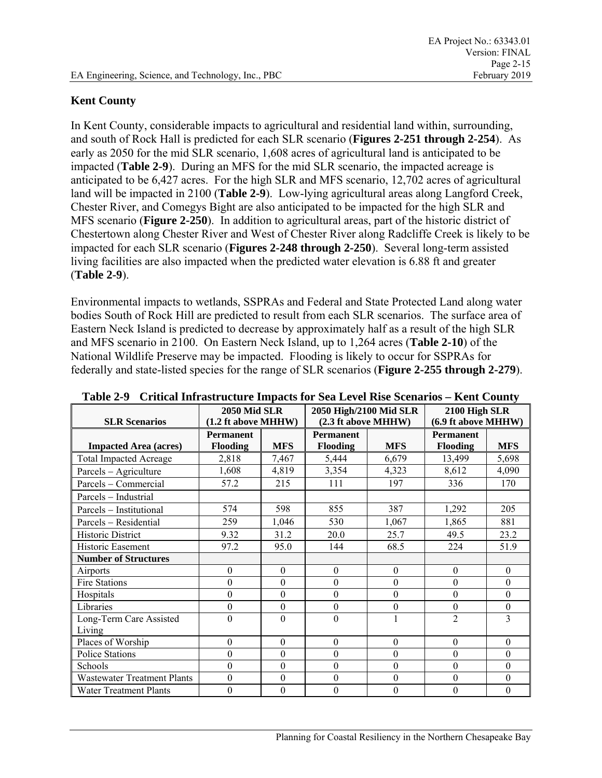### **Kent County**

In Kent County, considerable impacts to agricultural and residential land within, surrounding, and south of Rock Hall is predicted for each SLR scenario (**Figures 2-251 through 2-254**). As early as 2050 for the mid SLR scenario, 1,608 acres of agricultural land is anticipated to be impacted (**Table 2-9**). During an MFS for the mid SLR scenario, the impacted acreage is anticipated to be 6,427 acres. For the high SLR and MFS scenario, 12,702 acres of agricultural land will be impacted in 2100 (**Table 2-9**). Low-lying agricultural areas along Langford Creek, Chester River, and Comegys Bight are also anticipated to be impacted for the high SLR and MFS scenario (**Figure 2-250**). In addition to agricultural areas, part of the historic district of Chestertown along Chester River and West of Chester River along Radcliffe Creek is likely to be impacted for each SLR scenario (**Figures 2-248 through 2-250**). Several long-term assisted living facilities are also impacted when the predicted water elevation is 6.88 ft and greater (**Table 2-9**).

Environmental impacts to wetlands, SSPRAs and Federal and State Protected Land along water bodies South of Rock Hill are predicted to result from each SLR scenarios. The surface area of Eastern Neck Island is predicted to decrease by approximately half as a result of the high SLR and MFS scenario in 2100. On Eastern Neck Island, up to 1,264 acres (**Table 2-10**) of the National Wildlife Preserve may be impacted. Flooding is likely to occur for SSPRAs for federally and state-listed species for the range of SLR scenarios (**Figure 2-255 through 2-279**).

|                                    | Critical millabet acture milpació for Dea Level Ribe Dechartob |                  | 2050 High/2100 Mid SLR |                  |                                      |                  |
|------------------------------------|----------------------------------------------------------------|------------------|------------------------|------------------|--------------------------------------|------------------|
| <b>SLR Scenarios</b>               | <b>2050 Mid SLR</b><br>(1.2 ft above MHHW)                     |                  |                        |                  | 2100 High SLR<br>(6.9 ft above MHHW) |                  |
|                                    |                                                                |                  | (2.3 ft above MHHW)    |                  |                                      |                  |
|                                    | <b>Permanent</b>                                               |                  | <b>Permanent</b>       |                  | <b>Permanent</b>                     |                  |
| <b>Impacted Area (acres)</b>       | Flooding                                                       | <b>MFS</b>       | Flooding               | <b>MFS</b>       | <b>Flooding</b>                      | <b>MFS</b>       |
| <b>Total Impacted Acreage</b>      | 2,818                                                          | 7,467            | 5,444                  | 6,679            | 13,499                               | 5,698            |
| Parcels - Agriculture              | 1,608                                                          | 4,819            | 3,354                  | 4,323            | 8,612                                | 4,090            |
| Parcels - Commercial               | 57.2                                                           | 215              | 111                    | 197              | 336                                  | 170              |
| Parcels - Industrial               |                                                                |                  |                        |                  |                                      |                  |
| Parcels - Institutional            | 574                                                            | 598              | 855                    | 387              | 1,292                                | 205              |
| Parcels - Residential              | 259                                                            | 1,046            | 530                    | 1,067            | 1,865                                | 881              |
| <b>Historic District</b>           | 9.32                                                           | 31.2             | 20.0                   | 25.7             | 49.5                                 | 23.2             |
| Historic Easement                  | 97.2                                                           | 95.0             | 144                    | 68.5             | 224                                  | 51.9             |
| <b>Number of Structures</b>        |                                                                |                  |                        |                  |                                      |                  |
| Airports                           | $\theta$                                                       | $\boldsymbol{0}$ | $\theta$               | $\theta$         | $\theta$                             | $\theta$         |
| <b>Fire Stations</b>               | $\boldsymbol{0}$                                               | $\boldsymbol{0}$ | 0                      | $\boldsymbol{0}$ | $\boldsymbol{0}$                     | $\overline{0}$   |
| Hospitals                          | $\Omega$                                                       | $\mathbf{0}$     | $\theta$               | $\Omega$         | $\Omega$                             | $\overline{0}$   |
| Libraries                          | $\boldsymbol{0}$                                               | $\boldsymbol{0}$ | $\theta$               | $\theta$         | $\theta$                             | $\boldsymbol{0}$ |
| Long-Term Care Assisted            | $\Omega$                                                       | $\theta$         | 0                      |                  | $\overline{2}$                       | 3                |
| Living                             |                                                                |                  |                        |                  |                                      |                  |
| Places of Worship                  | $\Omega$                                                       | $\mathbf{0}$     | $\mathbf{0}$           | $\Omega$         | $\theta$                             | $\overline{0}$   |
| <b>Police Stations</b>             | $\theta$                                                       | $\theta$         | $\theta$               | $\theta$         | $\theta$                             | $\theta$         |
| Schools                            | $\theta$                                                       | $\theta$         | $\theta$               | $\theta$         | $\theta$                             | $\theta$         |
| <b>Wastewater Treatment Plants</b> | $\boldsymbol{0}$                                               | $\boldsymbol{0}$ | 0                      | $\theta$         | $\mathbf{0}$                         | $\boldsymbol{0}$ |
| <b>Water Treatment Plants</b>      | $\theta$                                                       | $\boldsymbol{0}$ | 0                      | $\theta$         | $\boldsymbol{0}$                     | $\boldsymbol{0}$ |

**Table 2-9 Critical Infrastructure Impacts for Sea Level Rise Scenarios – Kent County**